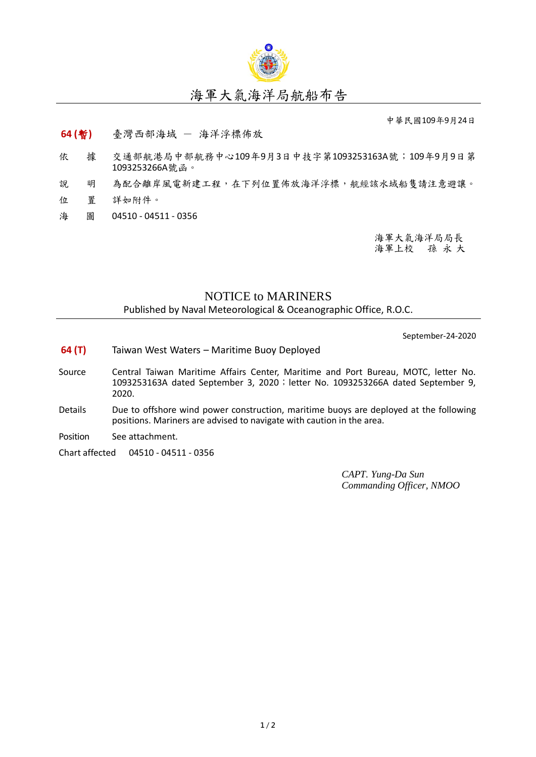

# 海軍大氣海洋局航船布告

中華民國109年9月24日

- **64 (**暫**)** 臺灣西部海域 海洋浮標佈放
- 依 據 交通部航港局中部航務中心109年9月3日中技字第1093253163A號;109年9月9日第 1093253266A號函。
- 說 明 為配合離岸風電新建工程,在下列位置佈放海洋浮標,航經該水域船隻請注意避讓。
- 位 置 詳如附件。
- 海 圖 04510 04511 0356

海軍大氣海洋局局長 海軍上校 孫 永 大

## NOTICE to MARINERS

Published by Naval Meteorological & Oceanographic Office, R.O.C.

September-24-2020

- **64 (T)** Taiwan West Waters Maritime Buoy Deployed
- Source Central Taiwan Maritime Affairs Center, Maritime and Port Bureau, MOTC, letter No. 1093253163A dated September 3, 2020 ; letter No. 1093253266A dated September 9, 2020.
- Details Due to offshore wind power construction, maritime buoys are deployed at the following positions. Mariners are advised to navigate with caution in the area.
- Position See attachment.
- Chart affected 04510 04511 0356

*CAPT. Yung-Da Sun Commanding Officer, NMOO*